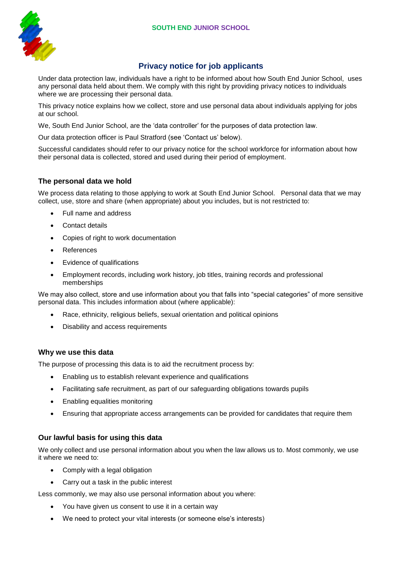

# **Privacy notice for job applicants**

Under data protection law, individuals have a right to be informed about how South End Junior School, uses any personal data held about them. We comply with this right by providing privacy notices to individuals where we are processing their personal data.

This privacy notice explains how we collect, store and use personal data about individuals applying for jobs at our school.

We, South End Junior School, are the 'data controller' for the purposes of data protection law.

Our data protection officer is Paul Stratford (see 'Contact us' below).

Successful candidates should refer to our privacy notice for the school workforce for information about how their personal data is collected, stored and used during their period of employment.

# **The personal data we hold**

We process data relating to those applying to work at South End Junior School. Personal data that we may collect, use, store and share (when appropriate) about you includes, but is not restricted to:

- Full name and address
- Contact details
- Copies of right to work documentation
- References
- Evidence of qualifications
- Employment records, including work history, job titles, training records and professional memberships

We may also collect, store and use information about you that falls into "special categories" of more sensitive personal data. This includes information about (where applicable):

- Race, ethnicity, religious beliefs, sexual orientation and political opinions
- Disability and access requirements

## **Why we use this data**

The purpose of processing this data is to aid the recruitment process by:

- Enabling us to establish relevant experience and qualifications
- Facilitating safe recruitment, as part of our safeguarding obligations towards pupils
- Enabling equalities monitoring
- Ensuring that appropriate access arrangements can be provided for candidates that require them

## **Our lawful basis for using this data**

We only collect and use personal information about you when the law allows us to. Most commonly, we use it where we need to:

- Comply with a legal obligation
- Carry out a task in the public interest

Less commonly, we may also use personal information about you where:

- You have given us consent to use it in a certain way
- We need to protect your vital interests (or someone else's interests)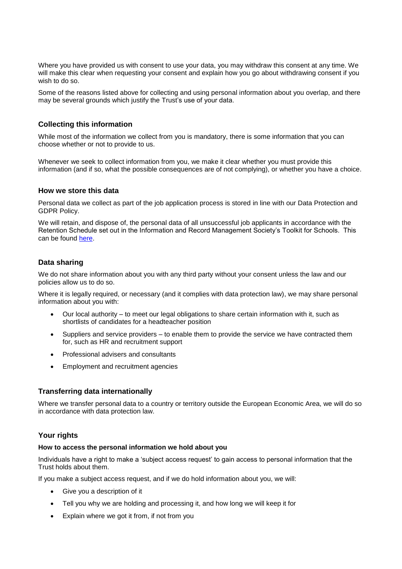Where you have provided us with consent to use your data, you may withdraw this consent at any time. We will make this clear when requesting your consent and explain how you go about withdrawing consent if you wish to do so.

Some of the reasons listed above for collecting and using personal information about you overlap, and there may be several grounds which justify the Trust's use of your data.

# **Collecting this information**

While most of the information we collect from you is mandatory, there is some information that you can choose whether or not to provide to us.

Whenever we seek to collect information from you, we make it clear whether you must provide this information (and if so, what the possible consequences are of not complying), or whether you have a choice.

#### **How we store this data**

Personal data we collect as part of the job application process is stored in line with our Data Protection and GDPR Policy.

We will retain, and dispose of, the personal data of all unsuccessful job applicants in accordance with the Retention Schedule set out in the Information and Record Management Society's Toolkit for Schools. This can be found [here.](http://irms.org.uk/?page=schoolstoolkit&terms=%22toolkit+and+schools%22) 

## **Data sharing**

We do not share information about you with any third party without your consent unless the law and our policies allow us to do so.

Where it is legally required, or necessary (and it complies with data protection law), we may share personal information about you with:

- Our local authority to meet our legal obligations to share certain information with it, such as shortlists of candidates for a headteacher position
- Suppliers and service providers to enable them to provide the service we have contracted them for, such as HR and recruitment support
- Professional advisers and consultants
- Employment and recruitment agencies

## **Transferring data internationally**

Where we transfer personal data to a country or territory outside the European Economic Area, we will do so in accordance with data protection law.

## **Your rights**

#### **How to access the personal information we hold about you**

Individuals have a right to make a 'subject access request' to gain access to personal information that the Trust holds about them.

If you make a subject access request, and if we do hold information about you, we will:

- Give you a description of it
- Tell you why we are holding and processing it, and how long we will keep it for
- Explain where we got it from, if not from you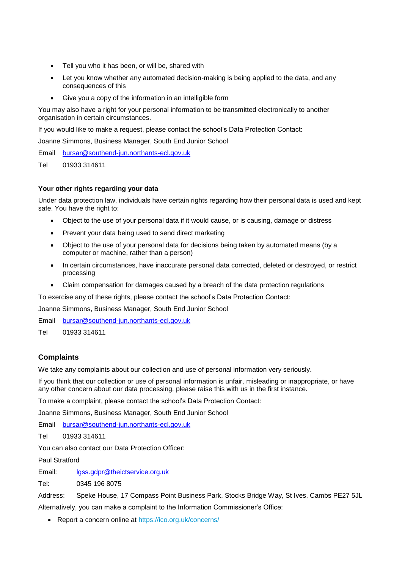- Tell you who it has been, or will be, shared with
- Let you know whether any automated decision-making is being applied to the data, and any consequences of this
- Give you a copy of the information in an intelligible form

You may also have a right for your personal information to be transmitted electronically to another organisation in certain circumstances.

If you would like to make a request, please contact the school's Data Protection Contact:

Joanne Simmons, Business Manager, South End Junior School

Email [bursar@southend-jun.northants-ecl.gov.uk](mailto:bursar@southend-jun.northants-ecl.gov.uk)

Tel 01933 314611

## **Your other rights regarding your data**

Under data protection law, individuals have certain rights regarding how their personal data is used and kept safe. You have the right to:

- Object to the use of your personal data if it would cause, or is causing, damage or distress
- Prevent your data being used to send direct marketing
- Object to the use of your personal data for decisions being taken by automated means (by a computer or machine, rather than a person)
- In certain circumstances, have inaccurate personal data corrected, deleted or destroyed, or restrict processing
- Claim compensation for damages caused by a breach of the data protection regulations

To exercise any of these rights, please contact the school's Data Protection Contact:

Joanne Simmons, Business Manager, South End Junior School

Email [bursar@southend-jun.northants-ecl.gov.uk](mailto:bursar@southend-jun.northants-ecl.gov.uk)

Tel 01933 314611

## **Complaints**

We take any complaints about our collection and use of personal information very seriously.

If you think that our collection or use of personal information is unfair, misleading or inappropriate, or have any other concern about our data processing, please raise this with us in the first instance.

To make a complaint, please contact the school's Data Protection Contact:

Joanne Simmons, Business Manager, South End Junior School

Email [bursar@southend-jun.northants-ecl.gov.uk](mailto:bursar@southend-jun.northants-ecl.gov.uk)

Tel 01933 314611

You can also contact our Data Protection Officer:

Paul Stratford

Email: [lgss.gdpr@theictservice.org.uk](mailto:lgss.gdpr@theictservice.org.uk)

Tel: 0345 196 8075

Address: Speke House, 17 Compass Point Business Park, Stocks Bridge Way, St Ives, Cambs PE27 5JL Alternatively, you can make a complaint to the Information Commissioner's Office:

Report a concern online at<https://ico.org.uk/concerns/>